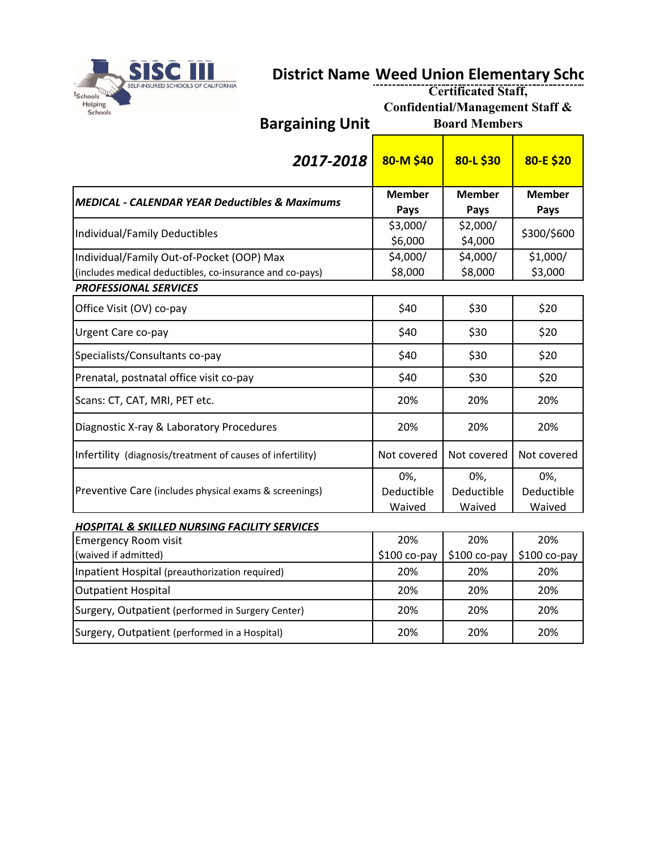

## **District Name Weed Union Elementary Schc**

| <b>SELF-INSURED SCHOOLS OF CALIFORNIA</b><br>Schools<br>Helping<br><b>Schools</b>                     | <b>Bargaining Unit</b>                                    | <b>Certificated Staff,</b><br>Confidential/Management Staff &<br><b>Board Members</b> |                             |                             |
|-------------------------------------------------------------------------------------------------------|-----------------------------------------------------------|---------------------------------------------------------------------------------------|-----------------------------|-----------------------------|
|                                                                                                       | 2017-2018                                                 | 80-M \$40                                                                             | 80-L \$30                   | 80-E \$20                   |
|                                                                                                       | <b>MEDICAL - CALENDAR YEAR Deductibles &amp; Maximums</b> | <b>Member</b><br>Pays                                                                 | <b>Member</b><br>Pays       | <b>Member</b><br>Pays       |
| Individual/Family Deductibles                                                                         |                                                           | \$3,000/<br>\$6,000                                                                   | \$2,000/<br>\$4,000         | \$300/\$600                 |
| Individual/Family Out-of-Pocket (OOP) Max<br>(includes medical deductibles, co-insurance and co-pays) |                                                           | \$4,000/<br>\$8,000                                                                   | \$4,000/<br>\$8,000         | \$1,000/<br>\$3,000         |
| <b>PROFESSIONAL SERVICES</b>                                                                          |                                                           |                                                                                       |                             |                             |
| Office Visit (OV) co-pay                                                                              |                                                           | \$40                                                                                  | \$30                        | \$20                        |
| Urgent Care co-pay                                                                                    |                                                           | \$40                                                                                  | \$30                        | \$20                        |
| Specialists/Consultants co-pay                                                                        |                                                           | \$40                                                                                  | \$30                        | \$20                        |
| Prenatal, postnatal office visit co-pay                                                               |                                                           | \$40                                                                                  | \$30                        | \$20                        |
| Scans: CT, CAT, MRI, PET etc.                                                                         |                                                           | 20%                                                                                   | 20%                         | 20%                         |
| Diagnostic X-ray & Laboratory Procedures                                                              |                                                           | 20%                                                                                   | 20%                         | 20%                         |
| Infertility (diagnosis/treatment of causes of infertility)                                            |                                                           | Not covered                                                                           | Not covered                 | Not covered                 |
| Preventive Care (includes physical exams & screenings)                                                |                                                           | 0%,<br>Deductible<br>Waived                                                           | 0%,<br>Deductible<br>Waived | 0%,<br>Deductible<br>Waived |
| <b>HOSPITAL &amp; SKILLED NURSING FACILITY SERVICES</b>                                               |                                                           |                                                                                       |                             |                             |
| <b>Emergency Room visit</b>                                                                           |                                                           | 20%                                                                                   | 20%                         | 20%                         |
| (waived if admitted)                                                                                  |                                                           | \$100 co-pay                                                                          | $$100 co-pay$               | $$100 co-pay$               |
| Inpatient Hospital (preauthorization required)                                                        |                                                           | 20%                                                                                   | 20%                         | 20%                         |
| <b>Outpatient Hospital</b>                                                                            |                                                           | 20%                                                                                   | 20%                         | 20%                         |
| Surgery, Outpatient (performed in Surgery Center)                                                     |                                                           | 20%                                                                                   | 20%                         | 20%                         |
| Surgery, Outpatient (performed in a Hospital)                                                         |                                                           | 20%                                                                                   | 20%                         | 20%                         |